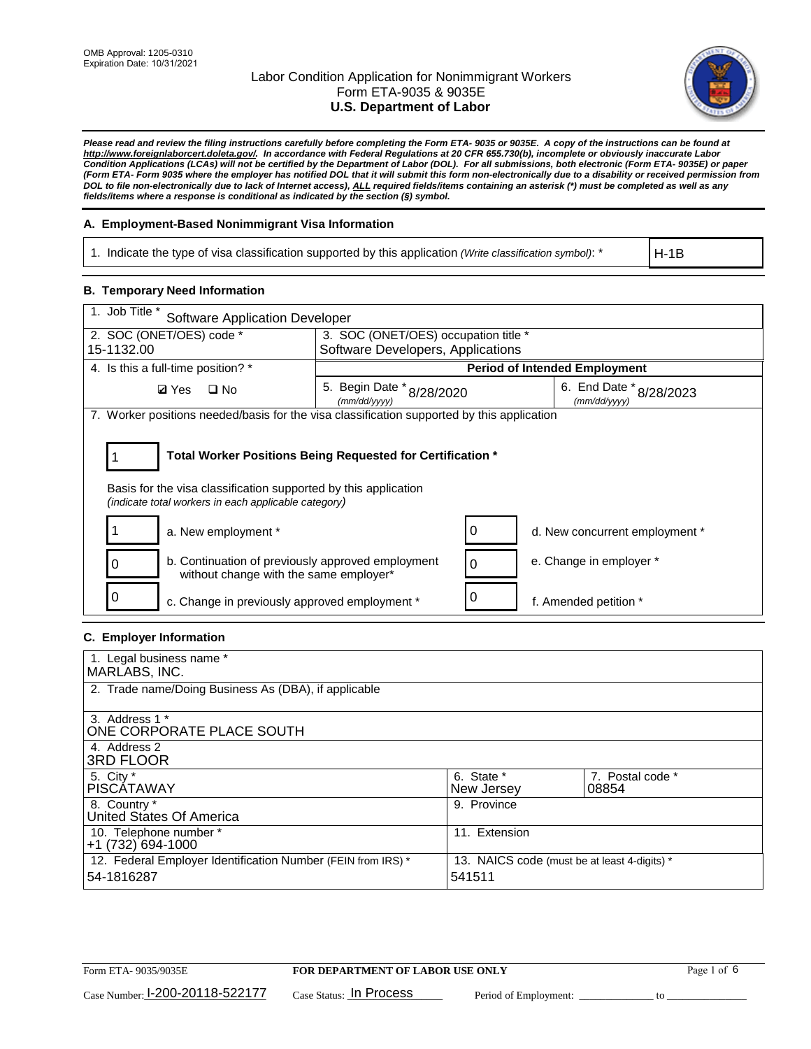

*Please read and review the filing instructions carefully before completing the Form ETA- 9035 or 9035E. A copy of the instructions can be found at [http://www.foreignlaborcert.doleta.gov/.](http://www.foreignlaborcert.doleta.gov/) In accordance with Federal Regulations at 20 CFR 655.730(b), incomplete or obviously inaccurate Labor Condition Applications (LCAs) will not be certified by the Department of Labor (DOL). For all submissions, both electronic (Form ETA- 9035E) or paper (Form ETA- Form 9035 where the employer has notified DOL that it will submit this form non-electronically due to a disability or received permission from DOL to file non-electronically due to lack of Internet access), ALL required fields/items containing an asterisk (\*) must be completed as well as any fields/items where a response is conditional as indicated by the section (§) symbol.* 

### **A. Employment-Based Nonimmigrant Visa Information**

1. Indicate the type of visa classification supported by this application *(Write classification symbol)*: \*

H-1B

### **B. Temporary Need Information**

| $\overline{1}$ . Job Title *<br><b>Software Application Developer</b>                                                                                                                 |                                      |                                                                      |                                      |  |  |
|---------------------------------------------------------------------------------------------------------------------------------------------------------------------------------------|--------------------------------------|----------------------------------------------------------------------|--------------------------------------|--|--|
| 2. SOC (ONET/OES) code *                                                                                                                                                              | 3. SOC (ONET/OES) occupation title * |                                                                      |                                      |  |  |
| 15-1132.00                                                                                                                                                                            | Software Developers, Applications    |                                                                      |                                      |  |  |
| 4. Is this a full-time position? *                                                                                                                                                    |                                      |                                                                      | <b>Period of Intended Employment</b> |  |  |
| <b>Ø</b> Yes<br>$\square$ No                                                                                                                                                          | (mm/dd/yyyy)                         | 5. Begin Date * 8/28/2020<br>6. End Date * 8/28/2023<br>(mm/dd/yyyy) |                                      |  |  |
| 7. Worker positions needed/basis for the visa classification supported by this application                                                                                            |                                      |                                                                      |                                      |  |  |
| Total Worker Positions Being Requested for Certification *<br>Basis for the visa classification supported by this application<br>(indicate total workers in each applicable category) |                                      |                                                                      |                                      |  |  |
| a. New employment *                                                                                                                                                                   |                                      | 0                                                                    | d. New concurrent employment *       |  |  |
| b. Continuation of previously approved employment<br>without change with the same employer*                                                                                           |                                      | 0                                                                    | e. Change in employer *              |  |  |
| c. Change in previously approved employment *                                                                                                                                         |                                      | 0                                                                    | f. Amended petition *                |  |  |

## **C. Employer Information**

| 1. Legal business name *                                     |                                              |                  |  |
|--------------------------------------------------------------|----------------------------------------------|------------------|--|
| MARLABS, INC.                                                |                                              |                  |  |
| 2. Trade name/Doing Business As (DBA), if applicable         |                                              |                  |  |
|                                                              |                                              |                  |  |
| 3. Address 1 *                                               |                                              |                  |  |
| ONE CORPORATE PLACE SOUTH                                    |                                              |                  |  |
| 4. Address 2                                                 |                                              |                  |  |
| <b>3RD FLOOR</b>                                             |                                              |                  |  |
| 5. City *                                                    | 6. State *                                   | 7. Postal code * |  |
| PISCÁTAWAY                                                   | New Jersey                                   | 08854            |  |
| 8. Country *                                                 | 9. Province                                  |                  |  |
| United States Of America                                     |                                              |                  |  |
| 10. Telephone number *                                       | 11. Extension                                |                  |  |
| +1 (732) 694-1000                                            |                                              |                  |  |
| 12. Federal Employer Identification Number (FEIN from IRS) * | 13. NAICS code (must be at least 4-digits) * |                  |  |
| 54-1816287                                                   | 541511                                       |                  |  |
|                                                              |                                              |                  |  |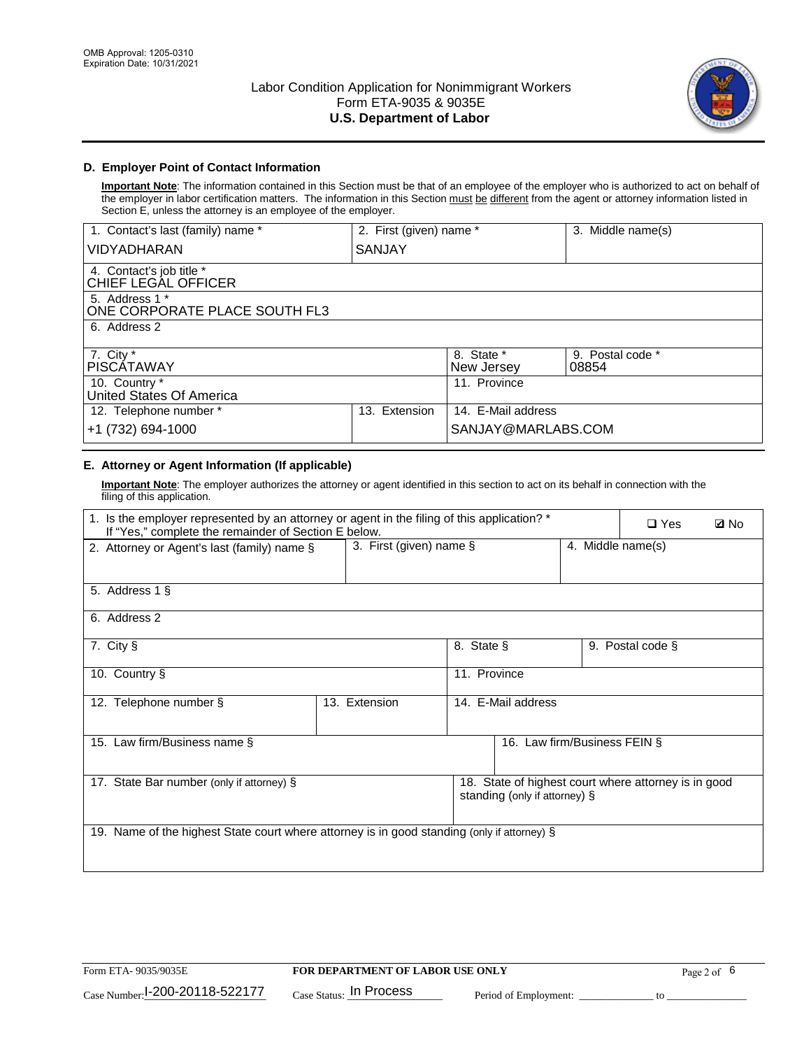

## **D. Employer Point of Contact Information**

**Important Note**: The information contained in this Section must be that of an employee of the employer who is authorized to act on behalf of the employer in labor certification matters. The information in this Section must be different from the agent or attorney information listed in Section E, unless the attorney is an employee of the employer.

| 1. Contact's last (family) name *               | 2. First (given) name * |                          | 3. Middle name(s)         |
|-------------------------------------------------|-------------------------|--------------------------|---------------------------|
| <b>VIDYADHARAN</b>                              | SANJAY                  |                          |                           |
| 4. Contact's job title *<br>CHIEF LEGAL OFFICER |                         |                          |                           |
| 5. Address 1 *<br>ONE CORPORATE PLACE SOUTH FL3 |                         |                          |                           |
| 6. Address 2                                    |                         |                          |                           |
| 7. City $*$<br><b>PISCATAWAY</b>                |                         | 8. State *<br>New Jersey | 9. Postal code *<br>08854 |
| 10. Country *<br>United States Of America       |                         | 11. Province             |                           |
| 12. Telephone number *                          | Extension<br>13.        | 14. E-Mail address       |                           |
| +1 (732) 694-1000                               |                         | SANJAY@MARLABS.COM       |                           |

## **E. Attorney or Agent Information (If applicable)**

**Important Note**: The employer authorizes the attorney or agent identified in this section to act on its behalf in connection with the filing of this application.

| 1. Is the employer represented by an attorney or agent in the filing of this application? *<br>If "Yes," complete the remainder of Section E below. |               |                                                 |                               |  | $\Box$ Yes                                           | <b>Ø</b> No |
|-----------------------------------------------------------------------------------------------------------------------------------------------------|---------------|-------------------------------------------------|-------------------------------|--|------------------------------------------------------|-------------|
| 2. Attorney or Agent's last (family) name §                                                                                                         |               | 3. First (given) name $\S$<br>4. Middle name(s) |                               |  |                                                      |             |
| 5. Address 1 §                                                                                                                                      |               |                                                 |                               |  |                                                      |             |
| 6. Address 2                                                                                                                                        |               |                                                 |                               |  |                                                      |             |
| 7. City §                                                                                                                                           |               | 8. State §                                      |                               |  | 9. Postal code §                                     |             |
| 10. Country §                                                                                                                                       |               | 11. Province                                    |                               |  |                                                      |             |
| 12. Telephone number §                                                                                                                              | 13. Extension | 14. E-Mail address                              |                               |  |                                                      |             |
| 15. Law firm/Business name §                                                                                                                        |               |                                                 | 16. Law firm/Business FEIN §  |  |                                                      |             |
| 17. State Bar number (only if attorney) §                                                                                                           |               |                                                 | standing (only if attorney) § |  | 18. State of highest court where attorney is in good |             |
| 19. Name of the highest State court where attorney is in good standing (only if attorney) §                                                         |               |                                                 |                               |  |                                                      |             |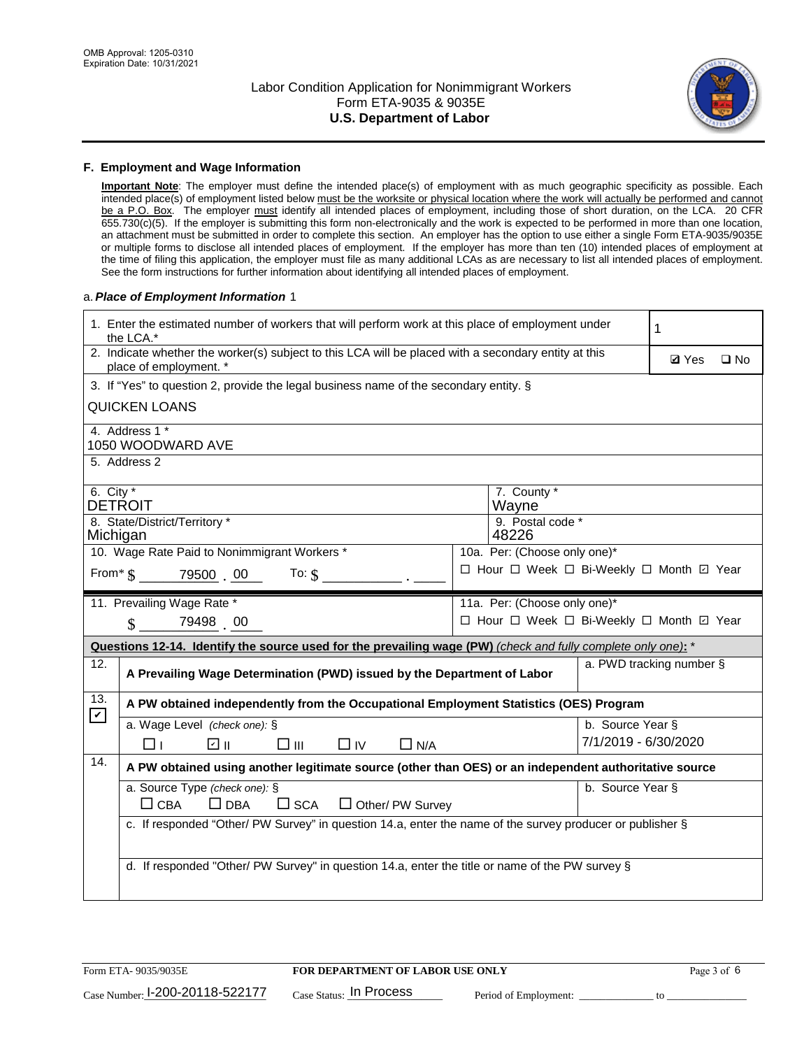

#### **F. Employment and Wage Information**

**Important Note**: The employer must define the intended place(s) of employment with as much geographic specificity as possible. Each intended place(s) of employment listed below must be the worksite or physical location where the work will actually be performed and cannot be a P.O. Box. The employer must identify all intended places of employment, including those of short duration, on the LCA. 20 CFR 655.730(c)(5). If the employer is submitting this form non-electronically and the work is expected to be performed in more than one location, an attachment must be submitted in order to complete this section. An employer has the option to use either a single Form ETA-9035/9035E or multiple forms to disclose all intended places of employment. If the employer has more than ten (10) intended places of employment at the time of filing this application, the employer must file as many additional LCAs as are necessary to list all intended places of employment. See the form instructions for further information about identifying all intended places of employment.

#### a.*Place of Employment Information* 1

|                                                                              | 1. Enter the estimated number of workers that will perform work at this place of employment under<br>1<br>the LCA.*            |  |                                          |                      |  |  |  |  |
|------------------------------------------------------------------------------|--------------------------------------------------------------------------------------------------------------------------------|--|------------------------------------------|----------------------|--|--|--|--|
|                                                                              | 2. Indicate whether the worker(s) subject to this LCA will be placed with a secondary entity at this<br>place of employment. * |  | <b>Ø</b> Yes                             | $\square$ No         |  |  |  |  |
|                                                                              | 3. If "Yes" to question 2, provide the legal business name of the secondary entity. §                                          |  |                                          |                      |  |  |  |  |
|                                                                              | <b>QUICKEN LOANS</b>                                                                                                           |  |                                          |                      |  |  |  |  |
|                                                                              | 4. Address 1 *<br>1050 WOODWARD AVE                                                                                            |  |                                          |                      |  |  |  |  |
|                                                                              | 5. Address 2                                                                                                                   |  |                                          |                      |  |  |  |  |
|                                                                              | 7. County *<br>6. City $*$<br><b>DETROIT</b><br>Wayne                                                                          |  |                                          |                      |  |  |  |  |
|                                                                              | 8. State/District/Territory *<br>9. Postal code *<br>Michigan<br>48226                                                         |  |                                          |                      |  |  |  |  |
| 10. Wage Rate Paid to Nonimmigrant Workers *<br>10a. Per: (Choose only one)* |                                                                                                                                |  |                                          |                      |  |  |  |  |
|                                                                              | □ Hour □ Week □ Bi-Weekly □ Month □ Year<br>From $\$$ 79500 00 To: $\$$                                                        |  |                                          |                      |  |  |  |  |
|                                                                              | 11. Prevailing Wage Rate *<br>11a. Per: (Choose only one)*                                                                     |  |                                          |                      |  |  |  |  |
|                                                                              | $\sin 79498$ 00                                                                                                                |  | □ Hour □ Week □ Bi-Weekly □ Month ☑ Year |                      |  |  |  |  |
|                                                                              | Questions 12-14. Identify the source used for the prevailing wage (PW) (check and fully complete only one): *                  |  |                                          |                      |  |  |  |  |
| 12.                                                                          | a. PWD tracking number §<br>A Prevailing Wage Determination (PWD) issued by the Department of Labor                            |  |                                          |                      |  |  |  |  |
| 13.<br>$\boxed{\mathbf{v}}$                                                  | A PW obtained independently from the Occupational Employment Statistics (OES) Program                                          |  |                                          |                      |  |  |  |  |
|                                                                              | a. Wage Level (check one): §                                                                                                   |  |                                          | b. Source Year §     |  |  |  |  |
|                                                                              | ☑ ⊪<br>$\square$ $\square$<br>$\Box$ IV<br>$\Box$ N/A<br>□⊥                                                                    |  |                                          | 7/1/2019 - 6/30/2020 |  |  |  |  |
| 14.                                                                          | A PW obtained using another legitimate source (other than OES) or an independent authoritative source                          |  |                                          |                      |  |  |  |  |
|                                                                              | a. Source Type (check one): §<br>$\Box$ CBA<br>$\Box$ DBA<br>$\square$ SCA<br>$\Box$ Other/ PW Survey                          |  |                                          | b. Source Year §     |  |  |  |  |
|                                                                              | c. If responded "Other/ PW Survey" in question 14.a, enter the name of the survey producer or publisher §                      |  |                                          |                      |  |  |  |  |
|                                                                              |                                                                                                                                |  |                                          |                      |  |  |  |  |
|                                                                              |                                                                                                                                |  |                                          |                      |  |  |  |  |
|                                                                              | d. If responded "Other/ PW Survey" in question 14.a, enter the title or name of the PW survey §                                |  |                                          |                      |  |  |  |  |
|                                                                              |                                                                                                                                |  |                                          |                      |  |  |  |  |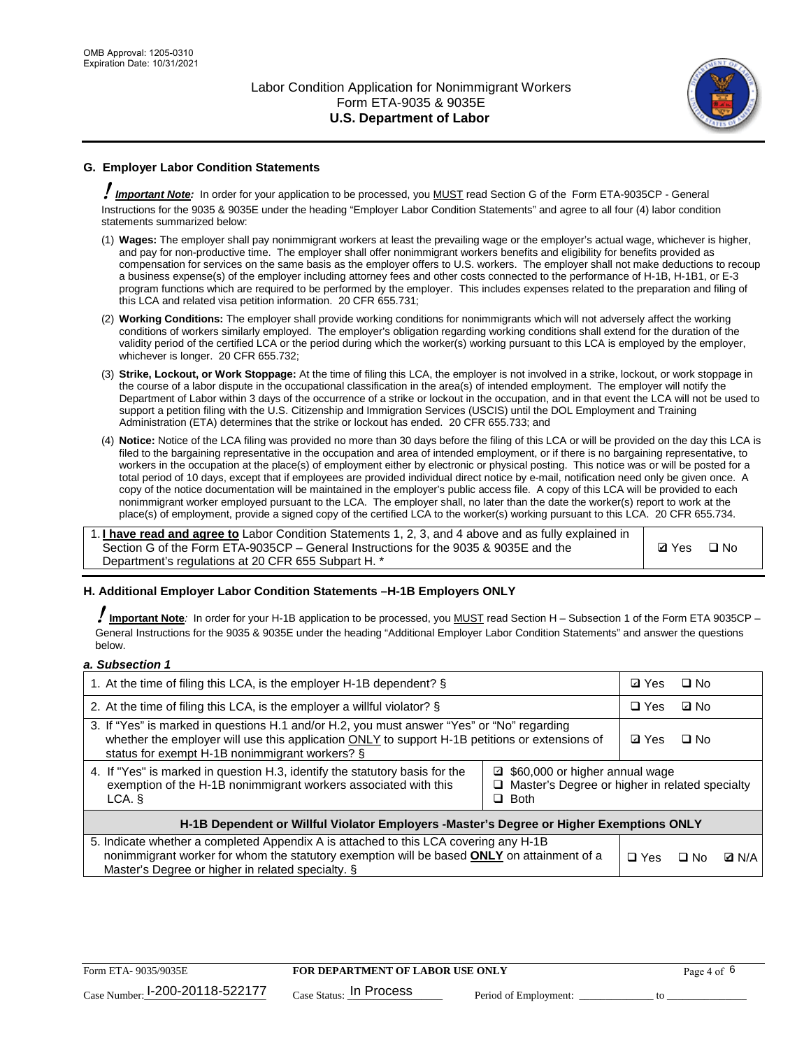

## **G. Employer Labor Condition Statements**

! *Important Note:* In order for your application to be processed, you MUST read Section G of the Form ETA-9035CP - General Instructions for the 9035 & 9035E under the heading "Employer Labor Condition Statements" and agree to all four (4) labor condition statements summarized below:

- (1) **Wages:** The employer shall pay nonimmigrant workers at least the prevailing wage or the employer's actual wage, whichever is higher, and pay for non-productive time. The employer shall offer nonimmigrant workers benefits and eligibility for benefits provided as compensation for services on the same basis as the employer offers to U.S. workers. The employer shall not make deductions to recoup a business expense(s) of the employer including attorney fees and other costs connected to the performance of H-1B, H-1B1, or E-3 program functions which are required to be performed by the employer. This includes expenses related to the preparation and filing of this LCA and related visa petition information. 20 CFR 655.731;
- (2) **Working Conditions:** The employer shall provide working conditions for nonimmigrants which will not adversely affect the working conditions of workers similarly employed. The employer's obligation regarding working conditions shall extend for the duration of the validity period of the certified LCA or the period during which the worker(s) working pursuant to this LCA is employed by the employer, whichever is longer. 20 CFR 655.732;
- (3) **Strike, Lockout, or Work Stoppage:** At the time of filing this LCA, the employer is not involved in a strike, lockout, or work stoppage in the course of a labor dispute in the occupational classification in the area(s) of intended employment. The employer will notify the Department of Labor within 3 days of the occurrence of a strike or lockout in the occupation, and in that event the LCA will not be used to support a petition filing with the U.S. Citizenship and Immigration Services (USCIS) until the DOL Employment and Training Administration (ETA) determines that the strike or lockout has ended. 20 CFR 655.733; and
- (4) **Notice:** Notice of the LCA filing was provided no more than 30 days before the filing of this LCA or will be provided on the day this LCA is filed to the bargaining representative in the occupation and area of intended employment, or if there is no bargaining representative, to workers in the occupation at the place(s) of employment either by electronic or physical posting. This notice was or will be posted for a total period of 10 days, except that if employees are provided individual direct notice by e-mail, notification need only be given once. A copy of the notice documentation will be maintained in the employer's public access file. A copy of this LCA will be provided to each nonimmigrant worker employed pursuant to the LCA. The employer shall, no later than the date the worker(s) report to work at the place(s) of employment, provide a signed copy of the certified LCA to the worker(s) working pursuant to this LCA. 20 CFR 655.734.

1. **I have read and agree to** Labor Condition Statements 1, 2, 3, and 4 above and as fully explained in Section G of the Form ETA-9035CP – General Instructions for the 9035 & 9035E and the Department's regulations at 20 CFR 655 Subpart H. \*

**Ø**Yes ロNo

### **H. Additional Employer Labor Condition Statements –H-1B Employers ONLY**

!**Important Note***:* In order for your H-1B application to be processed, you MUST read Section H – Subsection 1 of the Form ETA 9035CP – General Instructions for the 9035 & 9035E under the heading "Additional Employer Labor Condition Statements" and answer the questions below.

#### *a. Subsection 1*

| 1. At the time of filing this LCA, is the employer H-1B dependent? §                                                                                                                                                                                            |            | ⊡ Yes | $\square$ No |  |
|-----------------------------------------------------------------------------------------------------------------------------------------------------------------------------------------------------------------------------------------------------------------|------------|-------|--------------|--|
| 2. At the time of filing this LCA, is the employer a willful violator? $\S$                                                                                                                                                                                     |            |       | ⊡ No         |  |
| 3. If "Yes" is marked in questions H.1 and/or H.2, you must answer "Yes" or "No" regarding<br>whether the employer will use this application ONLY to support H-1B petitions or extensions of<br>status for exempt H-1B nonimmigrant workers? §                  |            |       | $\Box$ No    |  |
| 4. If "Yes" is marked in question H.3, identify the statutory basis for the<br>■ \$60,000 or higher annual wage<br>exemption of the H-1B nonimmigrant workers associated with this<br>□ Master's Degree or higher in related specialty<br>$\Box$ Both<br>LCA. § |            |       |              |  |
| H-1B Dependent or Willful Violator Employers -Master's Degree or Higher Exemptions ONLY                                                                                                                                                                         |            |       |              |  |
| 5. Indicate whether a completed Appendix A is attached to this LCA covering any H-1B<br>nonimmigrant worker for whom the statutory exemption will be based <b>ONLY</b> on attainment of a<br>Master's Degree or higher in related specialty. §                  | $\Box$ Yes | ⊡ No  | <b>Q</b> N/A |  |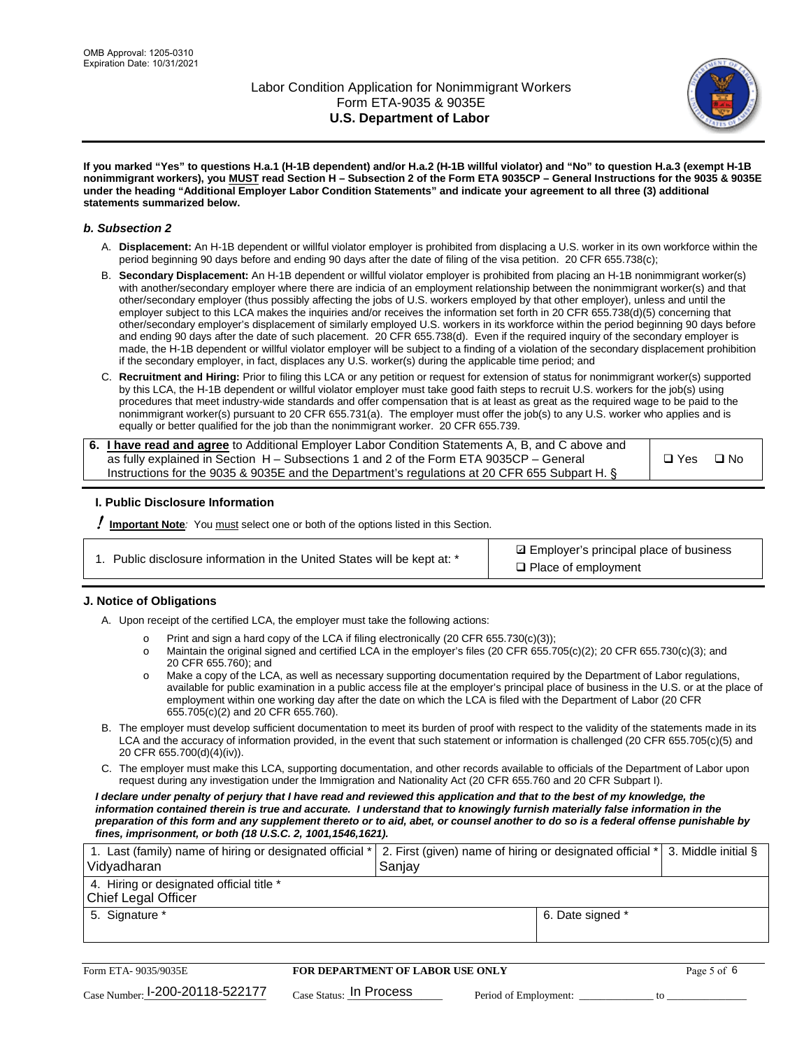

**If you marked "Yes" to questions H.a.1 (H-1B dependent) and/or H.a.2 (H-1B willful violator) and "No" to question H.a.3 (exempt H-1B nonimmigrant workers), you MUST read Section H – Subsection 2 of the Form ETA 9035CP – General Instructions for the 9035 & 9035E under the heading "Additional Employer Labor Condition Statements" and indicate your agreement to all three (3) additional statements summarized below.**

#### *b. Subsection 2*

- A. **Displacement:** An H-1B dependent or willful violator employer is prohibited from displacing a U.S. worker in its own workforce within the period beginning 90 days before and ending 90 days after the date of filing of the visa petition. 20 CFR 655.738(c);
- B. **Secondary Displacement:** An H-1B dependent or willful violator employer is prohibited from placing an H-1B nonimmigrant worker(s) with another/secondary employer where there are indicia of an employment relationship between the nonimmigrant worker(s) and that other/secondary employer (thus possibly affecting the jobs of U.S. workers employed by that other employer), unless and until the employer subject to this LCA makes the inquiries and/or receives the information set forth in 20 CFR 655.738(d)(5) concerning that other/secondary employer's displacement of similarly employed U.S. workers in its workforce within the period beginning 90 days before and ending 90 days after the date of such placement. 20 CFR 655.738(d). Even if the required inquiry of the secondary employer is made, the H-1B dependent or willful violator employer will be subject to a finding of a violation of the secondary displacement prohibition if the secondary employer, in fact, displaces any U.S. worker(s) during the applicable time period; and
- C. **Recruitment and Hiring:** Prior to filing this LCA or any petition or request for extension of status for nonimmigrant worker(s) supported by this LCA, the H-1B dependent or willful violator employer must take good faith steps to recruit U.S. workers for the job(s) using procedures that meet industry-wide standards and offer compensation that is at least as great as the required wage to be paid to the nonimmigrant worker(s) pursuant to 20 CFR 655.731(a). The employer must offer the job(s) to any U.S. worker who applies and is equally or better qualified for the job than the nonimmigrant worker. 20 CFR 655.739.

| 6. I have read and agree to Additional Employer Labor Condition Statements A, B, and C above and |       |           |
|--------------------------------------------------------------------------------------------------|-------|-----------|
| as fully explained in Section H – Subsections 1 and 2 of the Form ETA 9035CP – General           | □ Yes | $\Box$ No |
| Instructions for the 9035 & 9035E and the Department's regulations at 20 CFR 655 Subpart H. §    |       |           |

### **I. Public Disclosure Information**

! **Important Note***:* You must select one or both of the options listed in this Section.

| 1. Public disclosure information in the United States will be kept at: * |  |  |  |  |  |  |  |  |  |
|--------------------------------------------------------------------------|--|--|--|--|--|--|--|--|--|
|--------------------------------------------------------------------------|--|--|--|--|--|--|--|--|--|

**sqrt** Employer's principal place of business □ Place of employment

### **J. Notice of Obligations**

A. Upon receipt of the certified LCA, the employer must take the following actions:

- o Print and sign a hard copy of the LCA if filing electronically (20 CFR 655.730(c)(3));<br>
Maintain the original signed and certified LCA in the employer's files (20 CFR 655.7
- Maintain the original signed and certified LCA in the employer's files (20 CFR 655.705(c)(2); 20 CFR 655.730(c)(3); and 20 CFR 655.760); and
- o Make a copy of the LCA, as well as necessary supporting documentation required by the Department of Labor regulations, available for public examination in a public access file at the employer's principal place of business in the U.S. or at the place of employment within one working day after the date on which the LCA is filed with the Department of Labor (20 CFR 655.705(c)(2) and 20 CFR 655.760).
- B. The employer must develop sufficient documentation to meet its burden of proof with respect to the validity of the statements made in its LCA and the accuracy of information provided, in the event that such statement or information is challenged (20 CFR 655.705(c)(5) and 20 CFR 655.700(d)(4)(iv)).
- C. The employer must make this LCA, supporting documentation, and other records available to officials of the Department of Labor upon request during any investigation under the Immigration and Nationality Act (20 CFR 655.760 and 20 CFR Subpart I).

*I declare under penalty of perjury that I have read and reviewed this application and that to the best of my knowledge, the*  information contained therein is true and accurate. I understand that to knowingly furnish materially false information in the *preparation of this form and any supplement thereto or to aid, abet, or counsel another to do so is a federal offense punishable by fines, imprisonment, or both (18 U.S.C. 2, 1001,1546,1621).*

| 1. Last (family) name of hiring or designated official *   2. First (given) name of hiring or designated official *   3. Middle initial §<br>Vidyadharan | Saniav           |  |
|----------------------------------------------------------------------------------------------------------------------------------------------------------|------------------|--|
| 4. Hiring or designated official title *<br>Chief Legal Officer                                                                                          |                  |  |
| 5. Signature *                                                                                                                                           | 6. Date signed * |  |